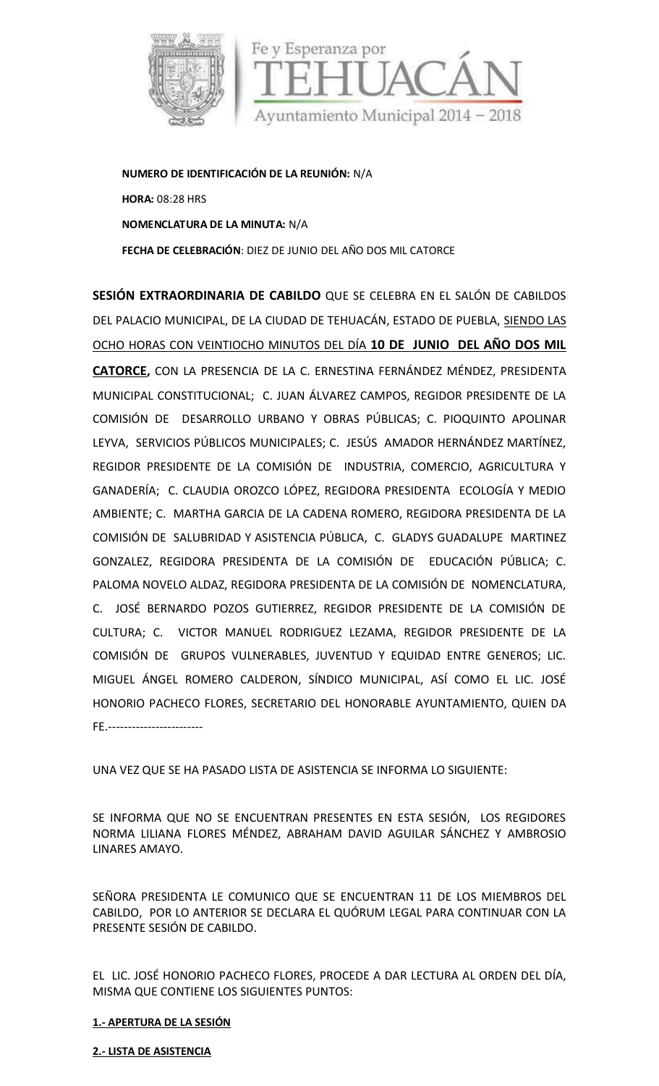

**NUMERO DE IDENTIFICACIÓN DE LA REUNIÓN:** N/A **HORA:** 08:28 HRS **NOMENCLATURA DE LA MINUTA:** N/A **FECHA DE CELEBRACIÓN**: DIEZ DE JUNIO DELAÑO DOS MIL CATORCE

**SESIÓN EXTRAORDINARIA DE CABILDO** QUE SE CELEBRA EN EL SALÓN DE CABILDOS DEL PALACIO MUNICIPAL, DE LA CIUDAD DE TEHUACÁN, ESTADO DE PUEBLA, SIENDO LAS OCHO HORAS CON VEINTIOCHO MINUTOS DEL DÍA **10 DE JUNIO DEL AÑO DOS MIL CATORCE,** CON LA PRESENCIA DE LA C. ERNESTINA FERNÁNDEZ MÉNDEZ, PRESIDENTA MUNICIPAL CONSTITUCIONAL; C. JUAN ÁLVAREZ CAMPOS, REGIDOR PRESIDENTE DE LA COMISIÓN DE DESARROLLO URBANO Y OBRAS PÚBLICAS; C. PIOQUINTO APOLINAR LEYVA, SERVICIOS PÚBLICOS MUNICIPALES; C. JESÚS AMADOR HERNÁNDEZ MARTÍNEZ, REGIDOR PRESIDENTE DE LA COMISIÓN DE INDUSTRIA, COMERCIO, AGRICULTURA Y GANADERÍA; C. CLAUDIA OROZCO LÓPEZ, REGIDORA PRESIDENTA ECOLOGÍA Y MEDIO AMBIENTE; C. MARTHA GARCIA DE LA CADENA ROMERO, REGIDORA PRESIDENTA DE LA COMISIÓN DE SALUBRIDAD Y ASISTENCIA PÚBLICA, C. GLADYS GUADALUPE MARTINEZ GONZALEZ, REGIDORA PRESIDENTA DE LA COMISIÓN DE EDUCACIÓN PÚBLICA; C. PALOMA NOVELO ALDAZ, REGIDORA PRESIDENTA DE LA COMISIÓN DE NOMENCLATURA, C. JOSÉ BERNARDO POZOS GUTIERREZ, REGIDOR PRESIDENTE DE LA COMISIÓN DE CULTURA; C. VICTOR MANUEL RODRIGUEZ LEZAMA, REGIDOR PRESIDENTE DE LA COMISIÓN DE GRUPOS VULNERABLES, JUVENTUD Y EQUIDAD ENTRE GENEROS; LIC. MIGUEL ÁNGEL ROMERO CALDERON, SÍNDICO MUNICIPAL, ASÍ COMO EL LIC. JOSÉ HONORIO PACHECO FLORES, SECRETARIO DEL HONORABLE AYUNTAMIENTO, QUIEN DA FE.------------------------

UNA VEZ QUE SE HA PASADO LISTA DE ASISTENCIA SE INFORMA LO SIGUIENTE:

SE INFORMA QUE NO SE ENCUENTRAN PRESENTES EN ESTA SESIÓN, LOS REGIDORES NORMA LILIANA FLORES MÉNDEZ, ABRAHAM DAVID AGUILAR SÁNCHEZ Y AMBROSIO LINARES AMAYO.

SEÑORA PRESIDENTA LE COMUNICO QUE SE ENCUENTRAN 11 DE LOS MIEMBROS DEL CABILDO, POR LO ANTERIOR SE DECLARA EL QUÓRUM LEGAL PARA CONTINUAR CON LA PRESENTE SESIÓN DE CABILDO.

EL LIC. JOSÉ HONORIO PACHECO FLORES, PROCEDE A DAR LECTURA AL ORDEN DEL DÍA, MISMA QUE CONTIENE LOS SIGUIENTES PUNTOS:

# **1.- APERTURA DE LA SESIÓN**

**2.- LISTA DE ASISTENCIA**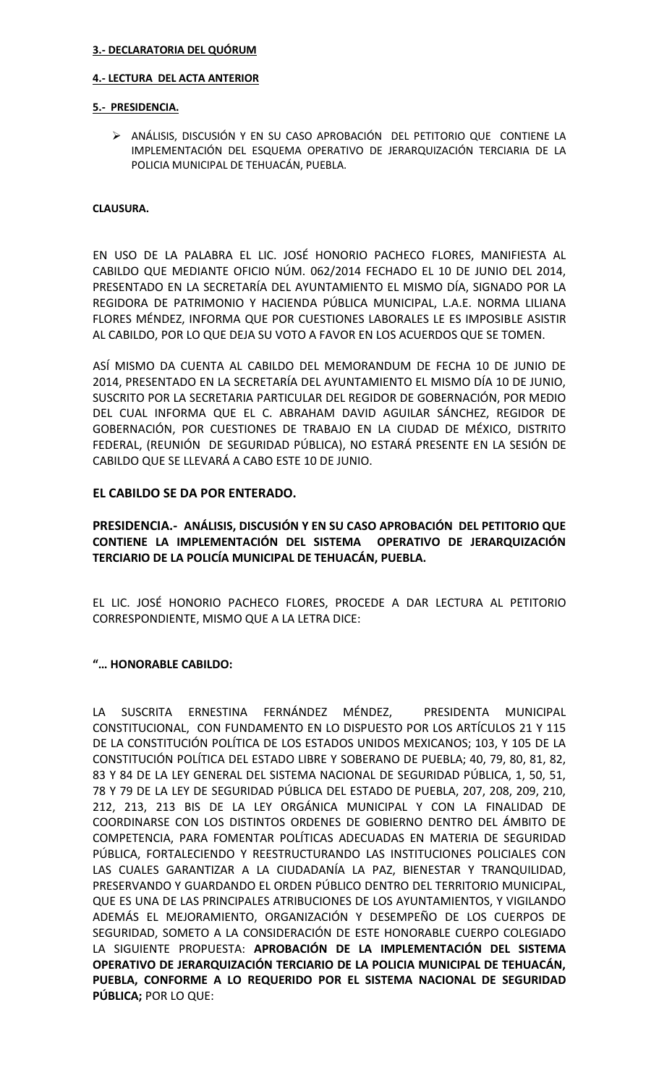### **3.- DECLARATORIA DEL QUÓRUM**

### **4.- LECTURA DEL ACTA ANTERIOR**

### **5.- PRESIDENCIA.**

 ANÁLISIS, DISCUSIÓN Y EN SU CASO APROBACIÓN DEL PETITORIO QUE CONTIENE LA IMPLEMENTACIÓN DEL ESQUEMA OPERATIVO DE JERARQUIZACIÓN TERCIARIA DE LA POLICIA MUNICIPAL DE TEHUACÁN, PUEBLA.

### **CLAUSURA.**

EN USO DE LA PALABRA EL LIC. JOSÉ HONORIO PACHECO FLORES, MANIFIESTA AL CABILDO QUE MEDIANTE OFICIO NÚM. 062/2014 FECHADO EL 10 DE JUNIO DEL 2014, PRESENTADO EN LA SECRETARÍA DEL AYUNTAMIENTO EL MISMO DÍA, SIGNADO POR LA REGIDORA DE PATRIMONIO Y HACIENDA PÚBLICA MUNICIPAL, L.A.E. NORMA LILIANA FLORES MÉNDEZ, INFORMA QUE POR CUESTIONES LABORALES LE ES IMPOSIBLE ASISTIR AL CABILDO, POR LO QUE DEJA SU VOTO A FAVOR EN LOS ACUERDOS QUE SE TOMEN.

ASÍ MISMO DA CUENTA AL CABILDO DEL MEMORANDUM DE FECHA 10 DE JUNIO DE 2014, PRESENTADO EN LA SECRETARÍA DEL AYUNTAMIENTO EL MISMO DÍA 10 DE JUNIO, SUSCRITO POR LA SECRETARIA PARTICULAR DEL REGIDOR DE GOBERNACIÓN, POR MEDIO DEL CUAL INFORMA QUE EL C. ABRAHAM DAVID AGUILAR SÁNCHEZ, REGIDOR DE GOBERNACIÓN, POR CUESTIONES DE TRABAJO EN LA CIUDAD DE MÉXICO, DISTRITO FEDERAL, (REUNIÓN DE SEGURIDAD PÚBLICA), NO ESTARÁ PRESENTE EN LA SESIÓN DE CABILDO QUE SE LLEVARÁ A CABO ESTE 10 DE JUNIO.

## **EL CABILDO SE DA POR ENTERADO.**

**PRESIDENCIA.- ANÁLISIS, DISCUSIÓN Y EN SU CASO APROBACIÓN DEL PETITORIO QUE CONTIENE LA IMPLEMENTACIÓN DEL SISTEMA OPERATIVO DE JERARQUIZACIÓN TERCIARIO DE LA POLICÍA MUNICIPAL DE TEHUACÁN, PUEBLA.**

EL LIC. JOSÉ HONORIO PACHECO FLORES, PROCEDE A DAR LECTURA AL PETITORIO CORRESPONDIENTE, MISMO QUE A LA LETRA DICE:

## **"… HONORABLE CABILDO:**

LA SUSCRITA ERNESTINA FERNÁNDEZ MÉNDEZ, PRESIDENTA MUNICIPAL CONSTITUCIONAL, CON FUNDAMENTO EN LO DISPUESTO POR LOS ARTÍCULOS 21 Y 115 DE LA CONSTITUCIÓN POLÍTICA DE LOS ESTADOS UNIDOS MEXICANOS; 103, Y 105 DE LA CONSTITUCIÓN POLÍTICA DEL ESTADO LIBRE Y SOBERANO DE PUEBLA; 40, 79, 80, 81, 82, 83 Y 84 DE LA LEY GENERAL DEL SISTEMA NACIONAL DE SEGURIDAD PÚBLICA, 1, 50, 51, 78 Y 79 DE LA LEY DE SEGURIDAD PÚBLICA DEL ESTADO DE PUEBLA, 207, 208, 209, 210, 212, 213, 213 BIS DE LA LEY ORGÁNICA MUNICIPAL Y CON LA FINALIDAD DE COORDINARSE CON LOS DISTINTOS ORDENES DE GOBIERNO DENTRO DEL ÁMBITO DE COMPETENCIA, PARA FOMENTAR POLÍTICAS ADECUADAS EN MATERIA DE SEGURIDAD PÚBLICA, FORTALECIENDO Y REESTRUCTURANDO LAS INSTITUCIONES POLICIALES CON LAS CUALES GARANTIZAR A LA CIUDADANÍA LA PAZ, BIENESTAR Y TRANQUILIDAD, PRESERVANDO Y GUARDANDO EL ORDEN PÚBLICO DENTRO DEL TERRITORIO MUNICIPAL, QUE ES UNA DE LAS PRINCIPALES ATRIBUCIONES DE LOS AYUNTAMIENTOS, Y VIGILANDO ADEMÁS EL MEJORAMIENTO, ORGANIZACIÓN Y DESEMPEÑO DE LOS CUERPOS DE SEGURIDAD, SOMETO A LA CONSIDERACIÓN DE ESTE HONORABLE CUERPO COLEGIADO LA SIGUIENTE PROPUESTA: **APROBACIÓN DE LA IMPLEMENTACIÓN DEL SISTEMA OPERATIVO DE JERARQUIZACIÓN TERCIARIO DE LA POLICIA MUNICIPAL DE TEHUACÁN, PUEBLA, CONFORME A LO REQUERIDO POR EL SISTEMA NACIONAL DE SEGURIDAD PÚBLICA;** POR LO QUE: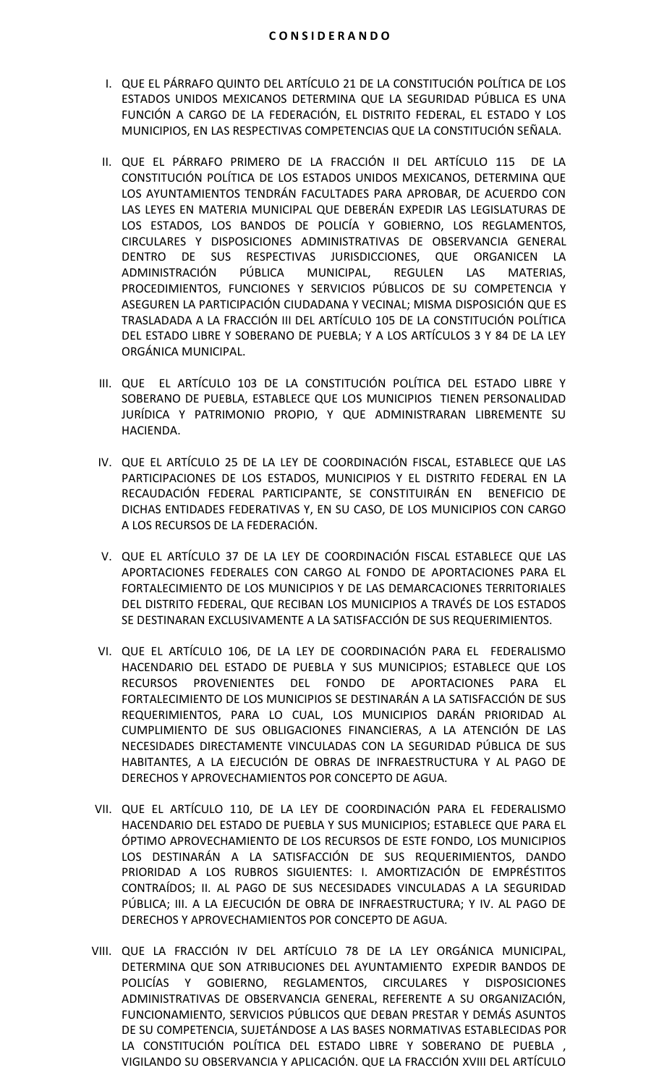- I. QUE EL PÁRRAFO QUINTO DEL ARTÍCULO 21 DE LA CONSTITUCIÓN POLÍTICA DE LOS ESTADOS UNIDOS MEXICANOS DETERMINA QUE LA SEGURIDAD PÚBLICA ES UNA FUNCIÓN A CARGO DE LA FEDERACIÓN, EL DISTRITO FEDERAL, EL ESTADO Y LOS MUNICIPIOS, EN LAS RESPECTIVAS COMPETENCIAS QUE LA CONSTITUCIÓN SEÑALA.
- II. QUE EL PÁRRAFO PRIMERO DE LA FRACCIÓN II DEL ARTÍCULO 115 DE LA CONSTITUCIÓN POLÍTICA DE LOS ESTADOS UNIDOS MEXICANOS, DETERMINA QUE LOS AYUNTAMIENTOS TENDRÁN FACULTADES PARA APROBAR, DE ACUERDO CON LAS LEYES EN MATERIA MUNICIPAL QUE DEBERÁN EXPEDIR LAS LEGISLATURAS DE LOS ESTADOS, LOS BANDOS DE POLICÍA Y GOBIERNO, LOS REGLAMENTOS, CIRCULARES Y DISPOSICIONES ADMINISTRATIVAS DE OBSERVANCIA GENERAL DENTRO DE SUS RESPECTIVAS JURISDICCIONES, QUE ORGANICEN LA ADMINISTRACIÓN PÚBLICA MUNICIPAL, REGULEN LAS MATERIAS, PROCEDIMIENTOS, FUNCIONES Y SERVICIOS PÚBLICOS DE SU COMPETENCIA Y ASEGUREN LA PARTICIPACIÓN CIUDADANA Y VECINAL; MISMA DISPOSICIÓN QUE ES TRASLADADA A LA FRACCIÓN III DEL ARTÍCULO 105 DE LA CONSTITUCIÓN POLÍTICA DEL ESTADO LIBRE Y SOBERANO DE PUEBLA; Y A LOS ARTÍCULOS 3 Y 84 DE LA LEY ORGÁNICA MUNICIPAL.
- III. QUE EL ARTÍCULO 103 DE LA CONSTITUCIÓN POLÍTICA DEL ESTADO LIBRE Y SOBERANO DE PUEBLA, ESTABLECE QUE LOS MUNICIPIOS TIENEN PERSONALIDAD JURÍDICA Y PATRIMONIO PROPIO, Y QUE ADMINISTRARAN LIBREMENTE SU HACIENDA.
- IV. QUE EL ARTÍCULO 25 DE LA LEY DE COORDINACIÓN FISCAL, ESTABLECE QUE LAS PARTICIPACIONES DE LOS ESTADOS, MUNICIPIOS Y EL DISTRITO FEDERAL EN LA RECAUDACIÓN FEDERAL PARTICIPANTE, SE CONSTITUIRÁN EN BENEFICIO DE DICHAS ENTIDADES FEDERATIVAS Y, EN SU CASO, DE LOS MUNICIPIOS CON CARGO A LOS RECURSOS DE LA FEDERACIÓN.
- V. QUE EL ARTÍCULO 37 DE LA LEY DE COORDINACIÓN FISCAL ESTABLECE QUE LAS APORTACIONES FEDERALES CON CARGO AL FONDO DE APORTACIONES PARA EL FORTALECIMIENTO DE LOS MUNICIPIOS Y DE LAS DEMARCACIONES TERRITORIALES DEL DISTRITO FEDERAL, QUE RECIBAN LOS MUNICIPIOS A TRAVÉS DE LOS ESTADOS SE DESTINARAN EXCLUSIVAMENTE A LA SATISFACCIÓN DE SUS REQUERIMIENTOS.
- VI. QUE EL ARTÍCULO 106, DE LA LEY DE COORDINACIÓN PARA EL FEDERALISMO HACENDARIO DEL ESTADO DE PUEBLA Y SUS MUNICIPIOS; ESTABLECE QUE LOS RECURSOS PROVENIENTES DEL FONDO DE APORTACIONES PARA EL FORTALECIMIENTO DE LOS MUNICIPIOS SE DESTINARÁN A LA SATISFACCIÓN DE SUS REQUERIMIENTOS, PARA LO CUAL, LOS MUNICIPIOS DARÁN PRIORIDAD AL CUMPLIMIENTO DE SUS OBLIGACIONES FINANCIERAS, A LA ATENCIÓN DE LAS NECESIDADES DIRECTAMENTE VINCULADAS CON LA SEGURIDAD PÚBLICA DE SUS HABITANTES, A LA EJECUCIÓN DE OBRAS DE INFRAESTRUCTURA Y AL PAGO DE DERECHOS Y APROVECHAMIENTOS POR CONCEPTO DE AGUA.
- VII. QUE EL ARTÍCULO 110, DE LA LEY DE COORDINACIÓN PARA EL FEDERALISMO HACENDARIO DEL ESTADO DE PUEBLA Y SUS MUNICIPIOS; ESTABLECE QUE PARA EL ÓPTIMO APROVECHAMIENTO DE LOS RECURSOS DE ESTE FONDO, LOS MUNICIPIOS LOS DESTINARÁN A LA SATISFACCIÓN DE SUS REQUERIMIENTOS, DANDO PRIORIDAD A LOS RUBROS SIGUIENTES: I. AMORTIZACIÓN DE EMPRÉSTITOS CONTRAÍDOS; II. AL PAGO DE SUS NECESIDADES VINCULADAS A LA SEGURIDAD PÚBLICA; III. A LA EJECUCIÓN DE OBRA DE INFRAESTRUCTURA; Y IV. AL PAGO DE DERECHOS Y APROVECHAMIENTOS POR CONCEPTO DE AGUA.
- VIII. QUE LA FRACCIÓN IV DEL ARTÍCULO 78 DE LA LEY ORGÁNICA MUNICIPAL, DETERMINA QUE SON ATRIBUCIONES DEL AYUNTAMIENTO EXPEDIR BANDOS DE POLICÍAS Y GOBIERNO, REGLAMENTOS, CIRCULARES Y DISPOSICIONES ADMINISTRATIVAS DE OBSERVANCIA GENERAL, REFERENTE A SU ORGANIZACIÓN, FUNCIONAMIENTO, SERVICIOS PÚBLICOS QUE DEBAN PRESTAR Y DEMÁS ASUNTOS DE SU COMPETENCIA, SUJETÁNDOSE A LAS BASES NORMATIVAS ESTABLECIDAS POR LA CONSTITUCIÓN POLÍTICA DEL ESTADO LIBRE Y SOBERANO DE PUEBLA , VIGILANDO SU OBSERVANCIA Y APLICACIÓN. QUE LA FRACCIÓN XVIII DEL ARTÍCULO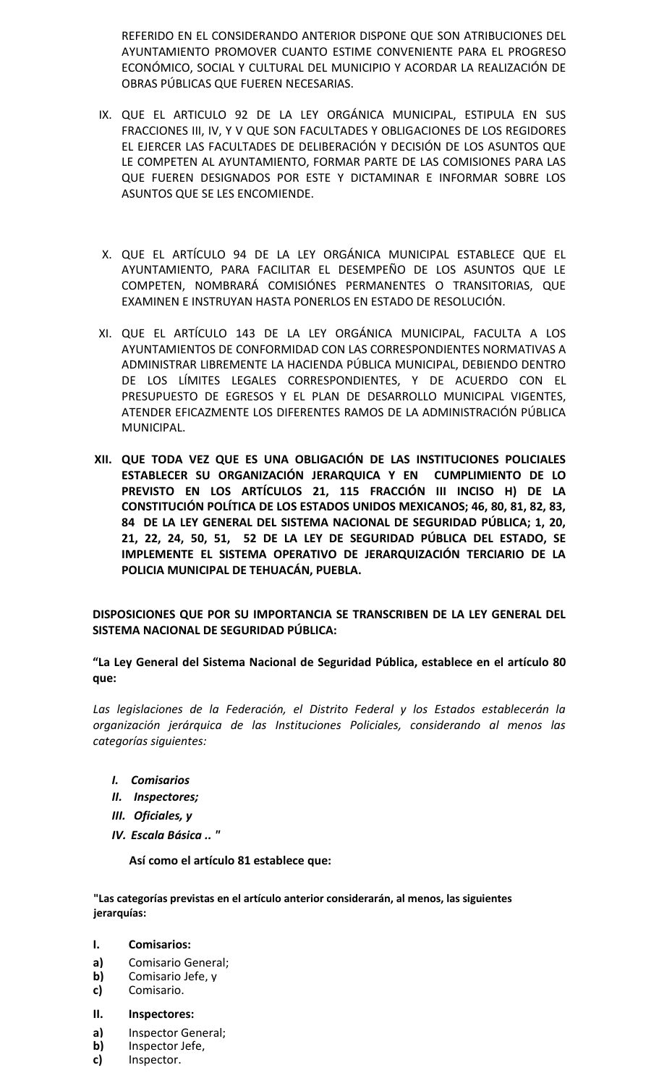REFERIDO EN EL CONSIDERANDO ANTERIOR DISPONE QUE SON ATRIBUCIONES DEL AYUNTAMIENTO PROMOVER CUANTO ESTIME CONVENIENTE PARA EL PROGRESO ECONÓMICO, SOCIAL Y CULTURAL DEL MUNICIPIO Y ACORDAR LA REALIZACIÓN DE OBRAS PÚBLICAS QUE FUEREN NECESARIAS.

- IX. QUE EL ARTICULO 92 DE LA LEY ORGÁNICA MUNICIPAL, ESTIPULA EN SUS FRACCIONES III, IV, Y V QUE SON FACULTADES Y OBLIGACIONES DE LOS REGIDORES EL EJERCER LAS FACULTADES DE DELIBERACIÓN Y DECISIÓN DE LOS ASUNTOS QUE LE COMPETEN AL AYUNTAMIENTO, FORMAR PARTE DE LAS COMISIONES PARA LAS QUE FUEREN DESIGNADOS POR ESTE Y DICTAMINAR E INFORMAR SOBRE LOS ASUNTOS QUE SE LES ENCOMIENDE.
- X. QUE EL ARTÍCULO 94 DE LA LEY ORGÁNICA MUNICIPAL ESTABLECE QUE EL AYUNTAMIENTO, PARA FACILITAR EL DESEMPEÑO DE LOS ASUNTOS QUE LE COMPETEN, NOMBRARÁ COMISIÓNES PERMANENTES O TRANSITORIAS, QUE EXAMINEN E INSTRUYAN HASTA PONERLOS EN ESTADO DE RESOLUCIÓN.
- XI. QUE EL ARTÍCULO 143 DE LA LEY ORGÁNICA MUNICIPAL, FACULTA A LOS AYUNTAMIENTOS DE CONFORMIDAD CON LAS CORRESPONDIENTES NORMATIVAS A ADMINISTRAR LIBREMENTE LA HACIENDA PÚBLICA MUNICIPAL, DEBIENDO DENTRO DE LOS LÍMITES LEGALES CORRESPONDIENTES, Y DE ACUERDO CON EL PRESUPUESTO DE EGRESOS Y EL PLAN DE DESARROLLO MUNICIPAL VIGENTES, ATENDER EFICAZMENTE LOS DIFERENTES RAMOS DE LA ADMINISTRACIÓN PÚBLICA MUNICIPAL.
- **XII. QUE TODA VEZ QUE ES UNA OBLIGACIÓN DE LAS INSTITUCIONES POLICIALES ESTABLECER SU ORGANIZACIÓN JERARQUICA Y EN CUMPLIMIENTO DE LO PREVISTO EN LOS ARTÍCULOS 21, 115 FRACCIÓN III INCISO H) DE LA CONSTITUCIÓN POLÍTICA DE LOS ESTADOS UNIDOS MEXICANOS; 46, 80, 81, 82, 83, 84 DE LA LEY GENERAL DEL SISTEMA NACIONAL DE SEGURIDAD PÚBLICA; 1, 20, 21, 22, 24, 50, 51, 52 DE LA LEY DE SEGURIDAD PÚBLICA DEL ESTADO, SE IMPLEMENTE EL SISTEMA OPERATIVO DE JERARQUIZACIÓN TERCIARIO DE LA POLICIA MUNICIPAL DE TEHUACÁN, PUEBLA.**

**DISPOSICIONES QUE POR SU IMPORTANCIA SE TRANSCRIBEN DE LA LEY GENERAL DEL SISTEMA NACIONAL DE SEGURIDAD PÚBLICA:**

**"La Ley General del Sistema Nacional de Seguridad Pública, establece en el artículo 80 que:**

*Las legislaciones de la Federación, el Distrito Federal y los Estados establecerán la organización jerárquica de las Instituciones Policiales, considerando al menos las categorías siguientes:*

- *I. Comisarios*
- *II. Inspectores;*
- *III. Oficiales, y*
- *IV. Escala Básica .. "*

**Así como el artículo 81 establece que:**

**"Las categorías previstas en el artículo anterior considerarán, al menos, las siguientes jerarquías:**

### **I. Comisarios:**

- **a)** Comisario General;
- **b)** Comisario Jefe, y
- **c)** Comisario.
- **II. Inspectores:**
- **a)** Inspector General;
- **b)** Inspector Jefe,
- **c)** Inspector.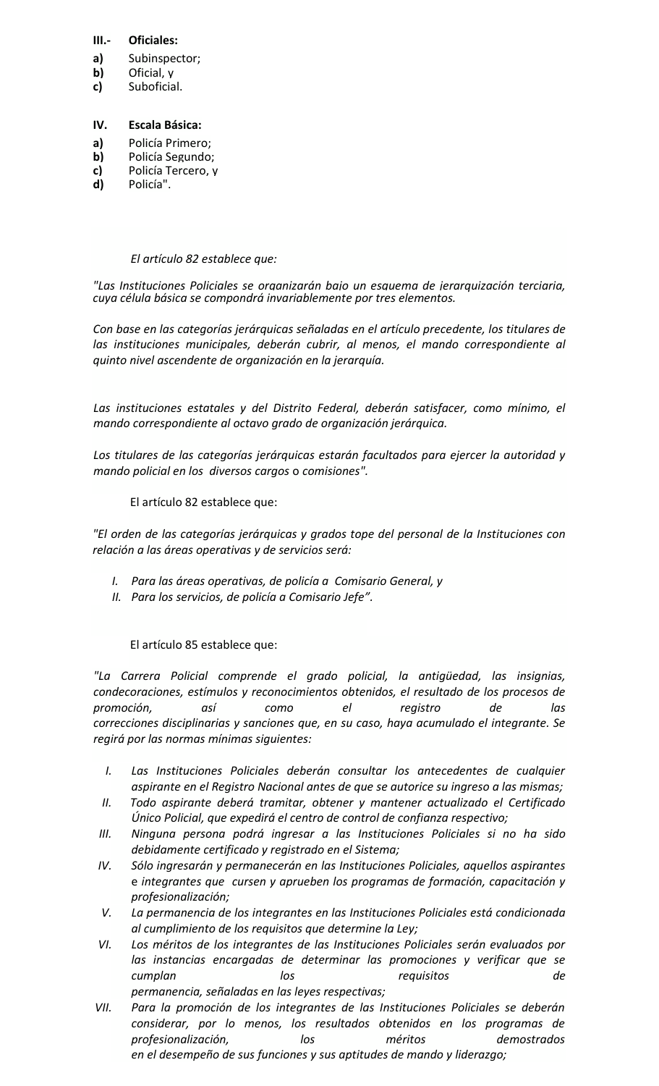## **III.- Oficiales:**

- **a)** Subinspector;
- **b)** Oficial, y
- **c)** Suboficial.

## **IV. Escala Básica:**

- **a)** Policía Primero;
- **b)** Policía Segundo;<br>**c)** Policía Tercero, y
- **c)** Policía Tercero, y
- **d)** Policía".

# *El artículo 82 establece que:*

*"Las Instituciones Policiales se organizarán bajo un esquema de jerarquización terciaria, cuya célula básica se compondrá invariablemente por tres elementos.*

*Con base en las categorías jerárquicas señaladas en el artículo precedente, los titulares de las instituciones municipales, deberán cubrir, al menos, el mando correspondiente al quinto nivel ascendente de organización en la jerarquía.*

*Las instituciones estatales y del Distrito Federal, deberán satisfacer, como mínimo, el mando correspondiente al octavo grado de organización jerárquica.*

*Los titulares de las categorías jerárquicas estarán facultados para ejercer la autoridad y mando policial en los diversos cargos* o *comisiones".*

El artículo 82 establece que:

*"El orden de las categorías jerárquicas y grados tope del personal de la Instituciones con relación a las áreas operativas y de servicios será:*

- *I. Para las áreas operativas, de policía a Comisario General, y*
- *II. Para los servicios, de policía a Comisario Jefe".*

El artículo 85 establece que:

*"La Carrera Policial comprende el grado policial, la antigüedad, las insignias, condecoraciones, estímulos y reconocimientos obtenidos, el resultado de los procesos de promoción, así como el registro de las correcciones disciplinarias y sanciones que, en su caso, haya acumulado el integrante. Se regirá por las normas mínimas siguientes:*

- *I. Las Instituciones Policiales deberán consultar los antecedentes de cualquier aspirante en el Registro Nacional antes de que se autorice su ingreso a las mismas;*
- *II. Todo aspirante deberá tramitar, obtener y mantener actualizado el Certificado Único Policial, que expedirá el centro de control de confianza respectivo;*
- *III. Ninguna persona podrá ingresar a las Instituciones Policiales si no ha sido debidamente certificado y registrado en el Sistema;*
- *IV. Sólo ingresarán y permanecerán en las Instituciones Policiales, aquellos aspirantes* e *integrantes que cursen y aprueben los programas de formación, capacitación y profesionalización;*
- *V. La permanencia de los integrantes en las Instituciones Policiales está condicionada al cumplimiento de los requisitos que determine la Ley;*
- *VI. Los méritos de los integrantes de las Instituciones Policiales serán evaluados por las instancias encargadas de determinar las promociones y verificar que se cumplan los requisitos de permanencia, señaladas en las leyes respectivas;*
- *VII. Para la promoción de los integrantes de las Instituciones Policiales se deberán considerar, por lo menos, los resultados obtenidos en los programas de profesionalización, los méritos demostrados en el desempeño de sus funciones y sus aptitudes de mando y liderazgo;*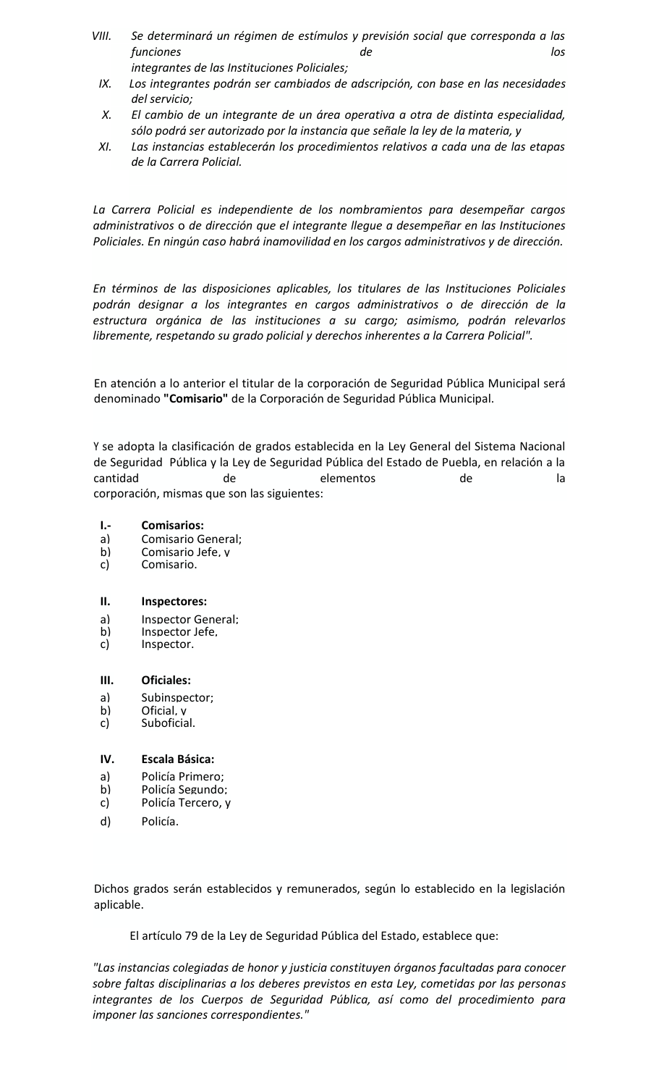- *VIII. Se determinará un régimen de estímulos y previsión social que corresponda a las funciones de los integrantes de las Instituciones Policiales;*
- *IX. Los integrantes podrán ser cambiados de adscripción, con base en las necesidades del servicio;*
- *X. El cambio de un integrante de un área operativa a otra de distinta especialidad, sólo podrá ser autorizado por la instancia que señale la ley de la materia, y*
- *XI. Las instancias establecerán los procedimientos relativos a cada una de las etapas de la Carrera Policial.*

*La Carrera Policial es independiente de los nombramientos para desempeñar cargos administrativos* o *de dirección que el integrante llegue a desempeñar en las Instituciones Policiales. En ningún caso habrá inamovilidad en los cargos administrativos y de dirección.*

*En términos de las disposiciones aplicables, los titulares de las Instituciones Policiales podrán designar a los integrantes en cargos administrativos o de dirección de la estructura orgánica de las instituciones a su cargo; asimismo, podrán relevarlos libremente, respetando su grado policial y derechos inherentes a la Carrera Policial".*

En atención a lo anterior el titular de la corporación de Seguridad Pública Municipal será denominado **"Comisario"** de la Corporación de Seguridad Pública Municipal.

Y se adopta la clasificación de grados establecida en la Ley General del Sistema Nacional de Seguridad Pública y la Ley de Seguridad Pública del Estado de Puebla, en relación a la cantidad de elementos de la corporación, mismas que son las siguientes:

- **I.- Comisarios:**
- a) Comisario General;<br>b) Comisario Jefe v
- b) Comisario Jefe, y
- c) Comisario.

## **II. Inspectores:**

- a) Inspector General;
- b) Inspector Jefe.<br>c) Inspector.
- Inspector.

## **III. Oficiales:**

- a) Subinspector;
- b) Oficial, y
- c) Suboficial.

## **IV. Escala Básica:**

- a) Policía Primero;
- b) Policía Segundo;
- c) Policía Tercero, y
- d) Policía.

Dichos grados serán establecidos y remunerados, según lo establecido en la legislación aplicable.

El artículo 79 de la Ley de Seguridad Pública del Estado, establece que:

*"Las instancias colegiadas de honor y justicia constituyen órganos facultadas para conocer sobre faltas disciplinarias a los deberes previstos en esta Ley, cometidas por las personas integrantes de los Cuerpos de Seguridad Pública, así como del procedimiento para imponer las sanciones correspondientes."*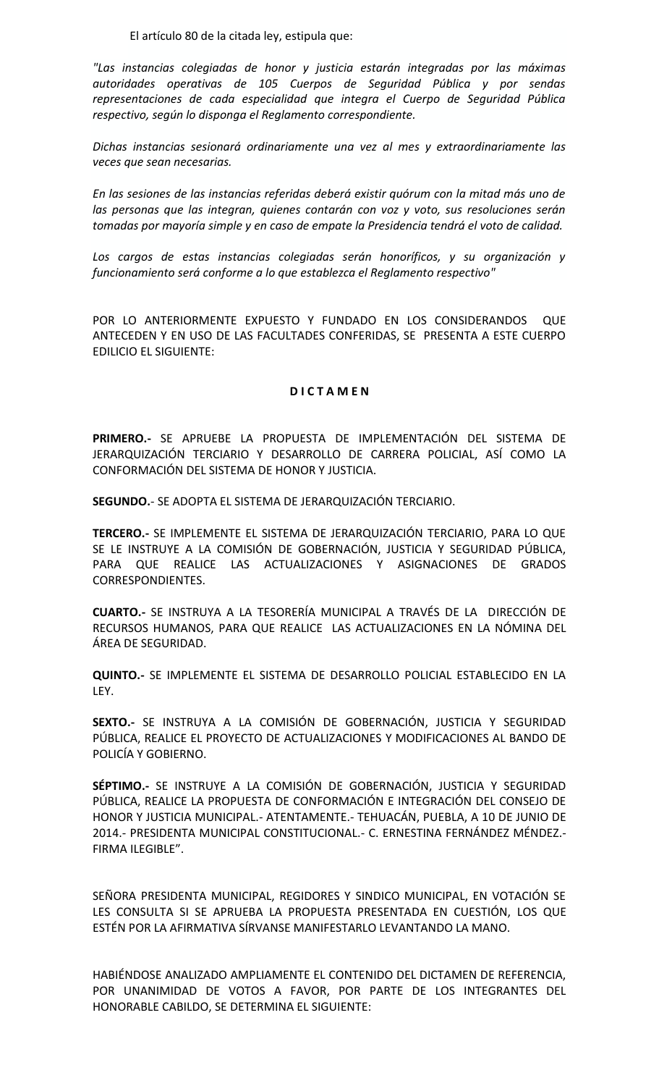El artículo 80 de la citada ley, estipula que:

*"Las instancias colegiadas de honor y justicia estarán integradas por las máximas autoridades operativas de 105 Cuerpos de Seguridad Pública y por sendas representaciones de cada especialidad que integra el Cuerpo de Seguridad Pública respectivo, según lo disponga el Reglamento correspondiente.*

*Dichas instancias sesionará ordinariamente una vez al mes y extraordinariamente las veces que sean necesarias.*

*En las sesiones de las instancias referidas deberá existir quórum con la mitad más uno de las personas que las integran, quienes contarán con voz y voto, sus resoluciones serán tomadas por mayoría simple y en caso de empate la Presidencia tendrá el voto de calidad.*

*Los cargos de estas instancias colegiadas serán honoríficos, y su organización y funcionamiento será conforme a lo que establezca el Reglamento respectivo"*

POR LO ANTERIORMENTE EXPUESTO Y FUNDADO EN LOS CONSIDERANDOS QUE ANTECEDEN Y EN USO DE LAS FACULTADES CONFERIDAS, SE PRESENTA A ESTE CUERPO EDILICIO EL SIGUIENTE:

### **D I C T A M E N**

**PRIMERO.-** SE APRUEBE LA PROPUESTA DE IMPLEMENTACIÓN DEL SISTEMA DE JERARQUIZACIÓN TERCIARIO Y DESARROLLO DE CARRERA POLICIAL, ASÍ COMO LA CONFORMACIÓN DEL SISTEMA DE HONOR Y JUSTICIA.

**SEGUNDO.**- SE ADOPTA EL SISTEMA DE JERARQUIZACIÓN TERCIARIO.

**TERCERO.-** SE IMPLEMENTE EL SISTEMA DE JERARQUIZACIÓN TERCIARIO, PARA LO QUE SE LE INSTRUYE A LA COMISIÓN DE GOBERNACIÓN, JUSTICIA Y SEGURIDAD PÚBLICA, PARA QUE REALICE LAS ACTUALIZACIONES Y ASIGNACIONES DE GRADOS CORRESPONDIENTES.

**CUARTO.-** SE INSTRUYA A LA TESORERÍA MUNICIPAL A TRAVÉS DE LA DIRECCIÓN DE RECURSOS HUMANOS, PARA QUE REALICE LAS ACTUALIZACIONES EN LA NÓMINA DEL ÁREA DE SEGURIDAD.

**QUINTO.-** SE IMPLEMENTE EL SISTEMA DE DESARROLLO POLICIAL ESTABLECIDO EN LA LEY.

**SEXTO.-** SE INSTRUYA A LA COMISIÓN DE GOBERNACIÓN, JUSTICIA Y SEGURIDAD PÚBLICA, REALICE EL PROYECTO DE ACTUALIZACIONES Y MODIFICACIONES AL BANDO DE POLICÍA Y GOBIERNO.

**SÉPTIMO.-** SE INSTRUYE A LA COMISIÓN DE GOBERNACIÓN, JUSTICIA Y SEGURIDAD PÚBLICA, REALICE LA PROPUESTA DE CONFORMACIÓN E INTEGRACIÓN DEL CONSEJO DE HONOR Y JUSTICIA MUNICIPAL.- ATENTAMENTE.- TEHUACÁN, PUEBLA, A 10 DE JUNIO DE 2014.- PRESIDENTA MUNICIPAL CONSTITUCIONAL.- C. ERNESTINA FERNÁNDEZ MÉNDEZ.- FIRMA ILEGIBLE".

SEÑORA PRESIDENTA MUNICIPAL, REGIDORES Y SINDICO MUNICIPAL, EN VOTACIÓN SE LES CONSULTA SI SE APRUEBA LA PROPUESTA PRESENTADA EN CUESTIÓN, LOS QUE ESTÉN POR LA AFIRMATIVA SÍRVANSE MANIFESTARLO LEVANTANDO LA MANO.

HABIÉNDOSE ANALIZADO AMPLIAMENTE EL CONTENIDO DEL DICTAMEN DE REFERENCIA, POR UNANIMIDAD DE VOTOS A FAVOR, POR PARTE DE LOS INTEGRANTES DEL HONORABLE CABILDO, SE DETERMINA EL SIGUIENTE: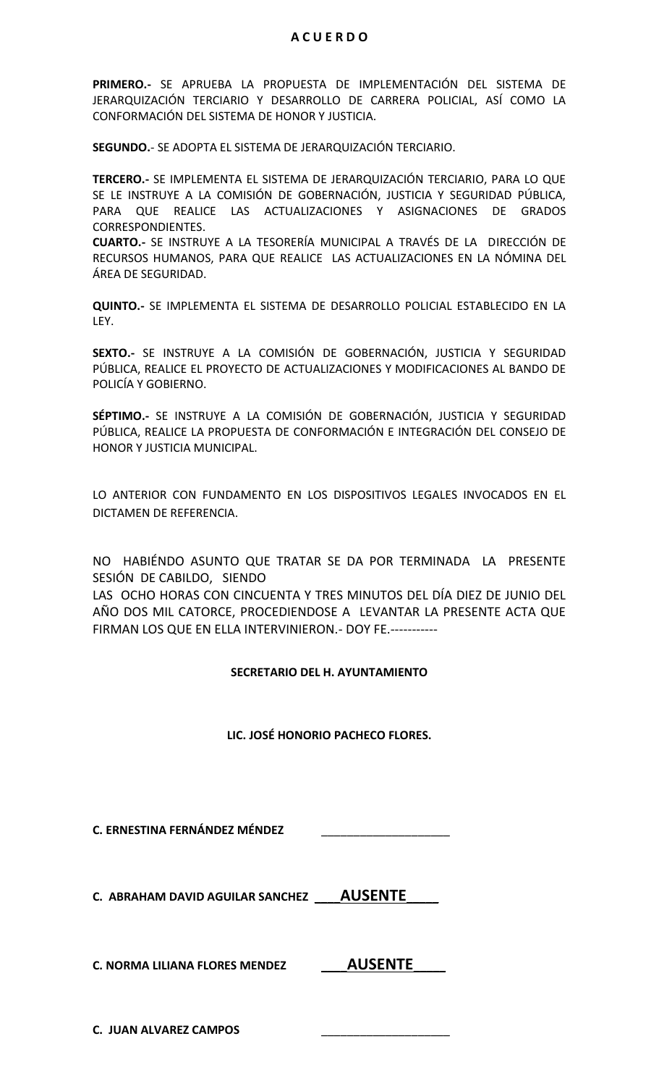## **A C U E R D O**

**PRIMERO.-** SE APRUEBA LA PROPUESTA DE IMPLEMENTACIÓN DEL SISTEMA DE JERARQUIZACIÓN TERCIARIO Y DESARROLLO DE CARRERA POLICIAL, ASÍ COMO LA CONFORMACIÓN DEL SISTEMA DE HONOR Y JUSTICIA.

**SEGUNDO.**- SE ADOPTA EL SISTEMA DE JERARQUIZACIÓN TERCIARIO.

**TERCERO.-** SE IMPLEMENTA EL SISTEMA DE JERARQUIZACIÓN TERCIARIO, PARA LO QUE SE LE INSTRUYE A LA COMISIÓN DE GOBERNACIÓN, JUSTICIA Y SEGURIDAD PÚBLICA, PARA QUE REALICE LAS ACTUALIZACIONES Y ASIGNACIONES DE GRADOS CORRESPONDIENTES.

**CUARTO.-** SE INSTRUYE A LA TESORERÍA MUNICIPAL A TRAVÉS DE LA DIRECCIÓN DE RECURSOS HUMANOS, PARA QUE REALICE LAS ACTUALIZACIONES EN LA NÓMINA DEL ÁREA DE SEGURIDAD.

**QUINTO.-** SE IMPLEMENTA EL SISTEMA DE DESARROLLO POLICIAL ESTABLECIDO EN LA LEY.

**SEXTO.-** SE INSTRUYE A LA COMISIÓN DE GOBERNACIÓN, JUSTICIA Y SEGURIDAD PÚBLICA, REALICE EL PROYECTO DE ACTUALIZACIONES Y MODIFICACIONES AL BANDO DE POLICÍA Y GOBIERNO.

**SÉPTIMO.-** SE INSTRUYE A LA COMISIÓN DE GOBERNACIÓN, JUSTICIA Y SEGURIDAD PÚBLICA, REALICE LA PROPUESTA DE CONFORMACIÓN E INTEGRACIÓN DEL CONSEJO DE HONOR Y JUSTICIA MUNICIPAL.

LO ANTERIOR CON FUNDAMENTO EN LOS DISPOSITIVOS LEGALES INVOCADOS EN EL DICTAMEN DE REFERENCIA.

NO HABIÉNDO ASUNTO QUE TRATAR SE DA POR TERMINADA LA PRESENTE SESIÓN DE CABILDO, SIENDO

LAS OCHO HORAS CON CINCUENTA Y TRES MINUTOS DEL DÍA DIEZ DE JUNIO DEL AÑO DOS MIL CATORCE, PROCEDIENDOSE A LEVANTAR LA PRESENTE ACTA QUE FIRMAN LOS QUE EN ELLA INTERVINIERON.- DOY FE.-----------

## **SECRETARIO DEL H. AYUNTAMIENTO**

## **LIC. JOSÉ HONORIO PACHECO FLORES.**

**C. ERNESTINA FERNÁNDEZ MÉNDEZ** \_\_\_\_\_\_\_\_\_\_\_\_\_\_\_\_\_\_\_\_

**C. ABRAHAM DAVID AGUILAR SANCHEZ** \_\_\_\_**AUSENTE**\_\_\_\_\_

**C. NORMA LILIANA FLORES MENDEZ** \_\_\_\_**AUSENTE**\_\_\_\_\_

**C. JUAN ALVAREZ CAMPOS** \_\_\_\_\_\_\_\_\_\_\_\_\_\_\_\_\_\_\_\_